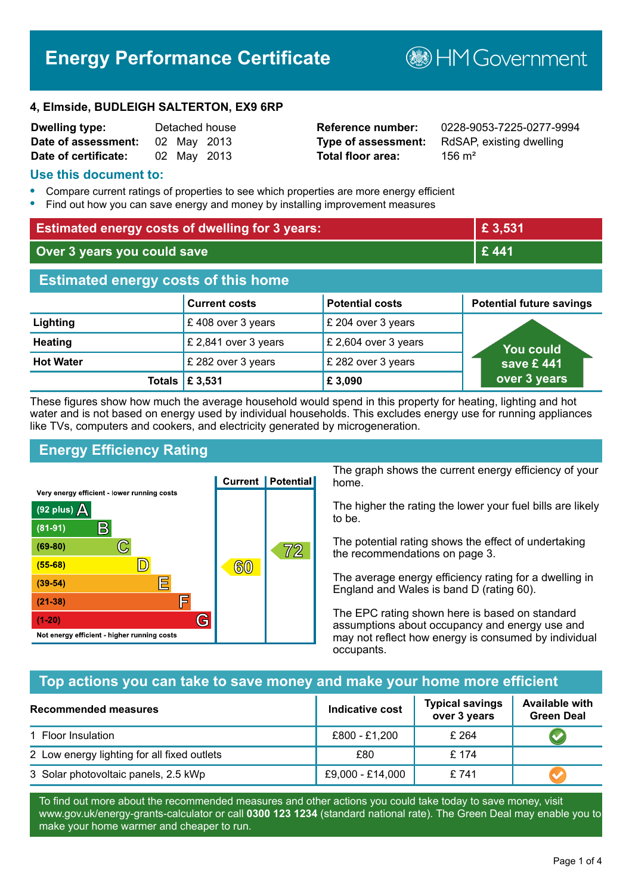# **Energy Performance Certificate**

**B**HM Government

#### **4, Elmside, BUDLEIGH SALTERTON, EX9 6RP**

| <b>Dwelling type:</b> |             | Detached house |
|-----------------------|-------------|----------------|
| Date of assessment:   | 02 May 2013 |                |
| Date of certificate:  | 02 May 2013 |                |

**Total floor area:** 156 m<sup>2</sup>

**Reference number:** 0228-9053-7225-0277-9994 **Type of assessment:** RdSAP, existing dwelling

#### **Use this document to:**

- **•** Compare current ratings of properties to see which properties are more energy efficient
- **•** Find out how you can save energy and money by installing improvement measures

| <b>Estimated energy costs of dwelling for 3 years:</b> |                           |                        | £ 3,531                         |
|--------------------------------------------------------|---------------------------|------------------------|---------------------------------|
| Over 3 years you could save                            |                           | £441                   |                                 |
| <b>Estimated energy costs of this home</b>             |                           |                        |                                 |
|                                                        | <b>Current costs</b>      | <b>Potential costs</b> | <b>Potential future savings</b> |
| Lighting                                               | £408 over 3 years         | £ 204 over 3 years     |                                 |
| <b>Heating</b>                                         | £ 2,841 over 3 years      | £ 2,604 over 3 years   | <b>You could</b>                |
| <b>Hot Water</b>                                       | £ 282 over 3 years        | £ 282 over 3 years     | save £441                       |
|                                                        | Totals $\mathsf{E}$ 3,531 | £ 3,090                | over 3 years                    |

These figures show how much the average household would spend in this property for heating, lighting and hot water and is not based on energy used by individual households. This excludes energy use for running appliances like TVs, computers and cookers, and electricity generated by microgeneration.

## **Energy Efficiency Rating**



The graph shows the current energy efficiency of your home.

The higher the rating the lower your fuel bills are likely to be.

The potential rating shows the effect of undertaking the recommendations on page 3.

The average energy efficiency rating for a dwelling in England and Wales is band D (rating 60).

The EPC rating shown here is based on standard assumptions about occupancy and energy use and may not reflect how energy is consumed by individual occupants.

## **Top actions you can take to save money and make your home more efficient**

| <b>Recommended measures</b>                 | Indicative cost  | <b>Typical savings</b><br>over 3 years | <b>Available with</b><br><b>Green Deal</b> |
|---------------------------------------------|------------------|----------------------------------------|--------------------------------------------|
| 1 Floor Insulation                          | £800 - £1,200    | £ 264                                  |                                            |
| 2 Low energy lighting for all fixed outlets | £80              | £ 174                                  |                                            |
| 3 Solar photovoltaic panels, 2.5 kWp        | £9,000 - £14,000 | £741                                   |                                            |

To find out more about the recommended measures and other actions you could take today to save money, visit www.gov.uk/energy-grants-calculator or call **0300 123 1234** (standard national rate). The Green Deal may enable you to make your home warmer and cheaper to run.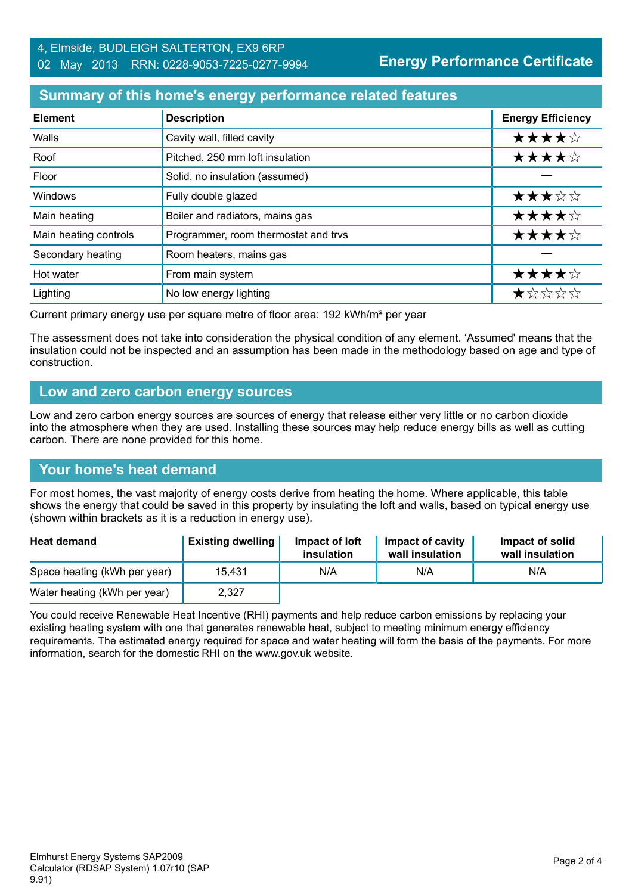## **Summary of this home's energy performance related features**

| <b>Element</b>        | <b>Description</b>                   | <b>Energy Efficiency</b> |
|-----------------------|--------------------------------------|--------------------------|
| Walls                 | Cavity wall, filled cavity           | ★★★★☆                    |
| Roof                  | Pitched, 250 mm loft insulation      | ★★★★☆                    |
| Floor                 | Solid, no insulation (assumed)       |                          |
| Windows               | Fully double glazed                  | ★★★☆☆                    |
| Main heating          | Boiler and radiators, mains gas      | ★★★★☆                    |
| Main heating controls | Programmer, room thermostat and trvs | ★★★★☆                    |
| Secondary heating     | Room heaters, mains gas              |                          |
| Hot water             | From main system                     | ★★★★☆                    |
| Lighting              | No low energy lighting               | *****                    |

Current primary energy use per square metre of floor area: 192 kWh/m² per year

The assessment does not take into consideration the physical condition of any element. 'Assumed' means that the insulation could not be inspected and an assumption has been made in the methodology based on age and type of construction.

#### **Low and zero carbon energy sources**

Low and zero carbon energy sources are sources of energy that release either very little or no carbon dioxide into the atmosphere when they are used. Installing these sources may help reduce energy bills as well as cutting carbon. There are none provided for this home.

## **Your home's heat demand**

For most homes, the vast majority of energy costs derive from heating the home. Where applicable, this table shows the energy that could be saved in this property by insulating the loft and walls, based on typical energy use (shown within brackets as it is a reduction in energy use).

| <b>Heat demand</b>           | <b>Existing dwelling</b> | Impact of loft<br>insulation | <b>Impact of cavity</b><br>wall insulation | Impact of solid<br>wall insulation |
|------------------------------|--------------------------|------------------------------|--------------------------------------------|------------------------------------|
| Space heating (kWh per year) | 15.431                   | N/A                          | N/A                                        | N/A                                |
| Water heating (kWh per year) | 2,327                    |                              |                                            |                                    |

You could receive Renewable Heat Incentive (RHI) payments and help reduce carbon emissions by replacing your existing heating system with one that generates renewable heat, subject to meeting minimum energy efficiency requirements. The estimated energy required for space and water heating will form the basis of the payments. For more information, search for the domestic RHI on the www.gov.uk website.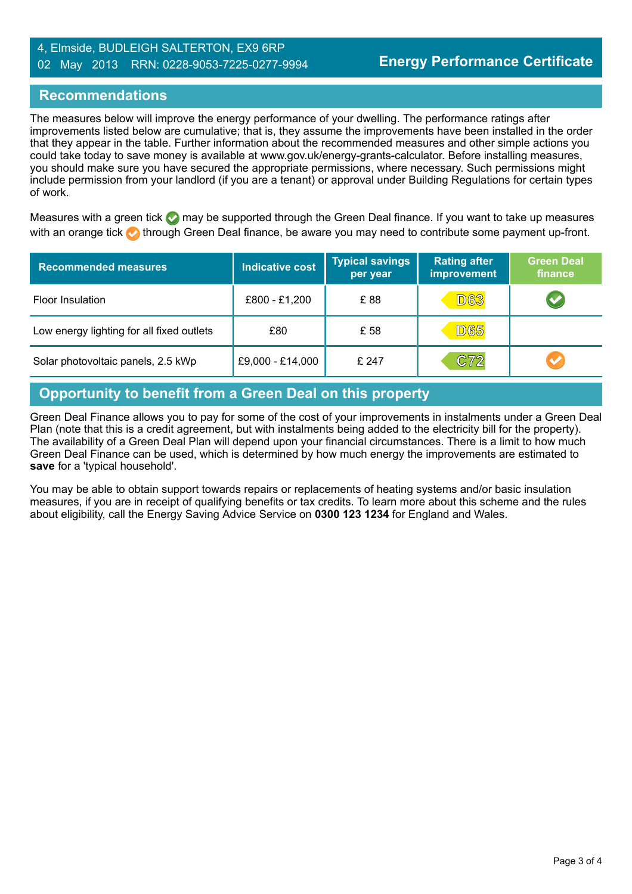## 4, Elmside, BUDLEIGH SALTERTON, EX9 6RP 02 May 2013 RRN: 0228-9053-7225-0277-9994

## **Recommendations**

The measures below will improve the energy performance of your dwelling. The performance ratings after improvements listed below are cumulative; that is, they assume the improvements have been installed in the order that they appear in the table. Further information about the recommended measures and other simple actions you could take today to save money is available at www.gov.uk/energy-grants-calculator. Before installing measures, you should make sure you have secured the appropriate permissions, where necessary. Such permissions might include permission from your landlord (if you are a tenant) or approval under Building Regulations for certain types of work.

Measures with a green tick  $\bullet$  may be supported through the Green Deal finance. If you want to take up measures with an orange tick **th** through Green Deal finance, be aware you may need to contribute some payment up-front.

| <b>Recommended measures</b>               | Indicative cost  | <b>Typical savings</b><br>per year | <b>Rating after</b><br><b>improvement</b> | <b>Green Deal</b><br>finance |
|-------------------------------------------|------------------|------------------------------------|-------------------------------------------|------------------------------|
| Floor Insulation                          | £800 - £1,200    | £88                                | <b>D63</b>                                | $\blacktriangledown$         |
| Low energy lighting for all fixed outlets | £80              | £ 58                               | <b>D65</b>                                |                              |
| Solar photovoltaic panels, 2.5 kWp        | £9,000 - £14,000 | £ 247                              | C72                                       | $\blacktriangledown$         |

## **Opportunity to benefit from a Green Deal on this property**

Green Deal Finance allows you to pay for some of the cost of your improvements in instalments under a Green Deal Plan (note that this is a credit agreement, but with instalments being added to the electricity bill for the property). The availability of a Green Deal Plan will depend upon your financial circumstances. There is a limit to how much Green Deal Finance can be used, which is determined by how much energy the improvements are estimated to **save** for a 'typical household'.

You may be able to obtain support towards repairs or replacements of heating systems and/or basic insulation measures, if you are in receipt of qualifying benefits or tax credits. To learn more about this scheme and the rules about eligibility, call the Energy Saving Advice Service on **0300 123 1234** for England and Wales.